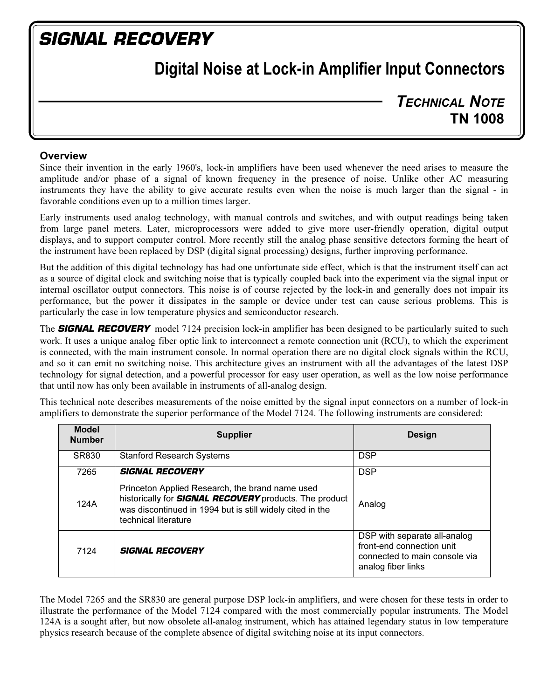# **SIGNAL RECOVERY**

# Digital Noise at Lock-in Amplifier Input Connectors

TECHNICAL NOTE TN 1008

### **Overview**

Since their invention in the early 1960's, lock-in amplifiers have been used whenever the need arises to measure the amplitude and/or phase of a signal of known frequency in the presence of noise. Unlike other AC measuring instruments they have the ability to give accurate results even when the noise is much larger than the signal - in favorable conditions even up to a million times larger.

Early instruments used analog technology, with manual controls and switches, and with output readings being taken from large panel meters. Later, microprocessors were added to give more user-friendly operation, digital output displays, and to support computer control. More recently still the analog phase sensitive detectors forming the heart of the instrument have been replaced by DSP (digital signal processing) designs, further improving performance.

But the addition of this digital technology has had one unfortunate side effect, which is that the instrument itself can act as a source of digital clock and switching noise that is typically coupled back into the experiment via the signal input or internal oscillator output connectors. This noise is of course rejected by the lock-in and generally does not impair its performance, but the power it dissipates in the sample or device under test can cause serious problems. This is particularly the case in low temperature physics and semiconductor research.

The **SIGNAL RECOVERY** model 7124 precision lock-in amplifier has been designed to be particularly suited to such work. It uses a unique analog fiber optic link to interconnect a remote connection unit (RCU), to which the experiment is connected, with the main instrument console. In normal operation there are no digital clock signals within the RCU, and so it can emit no switching noise. This architecture gives an instrument with all the advantages of the latest DSP technology for signal detection, and a powerful processor for easy user operation, as well as the low noise performance that until now has only been available in instruments of all-analog design.

This technical note describes measurements of the noise emitted by the signal input connectors on a number of lock-in amplifiers to demonstrate the superior performance of the Model 7124. The following instruments are considered:

| <b>Model</b><br><b>Number</b> | <b>Supplier</b>                                                                                                                                                                                       | <b>Design</b>                                                                                                    |
|-------------------------------|-------------------------------------------------------------------------------------------------------------------------------------------------------------------------------------------------------|------------------------------------------------------------------------------------------------------------------|
| SR830                         | <b>Stanford Research Systems</b>                                                                                                                                                                      | <b>DSP</b>                                                                                                       |
| 7265                          | <b>SIGNAL RECOVERY</b>                                                                                                                                                                                | <b>DSP</b>                                                                                                       |
| 124A                          | Princeton Applied Research, the brand name used<br>historically for <b>SIGNAL RECOVERY</b> products. The product<br>was discontinued in 1994 but is still widely cited in the<br>technical literature | Analog                                                                                                           |
| 7124                          | <b>SIGNAL RECOVERY</b>                                                                                                                                                                                | DSP with separate all-analog<br>front-end connection unit<br>connected to main console via<br>analog fiber links |

The Model 7265 and the SR830 are general purpose DSP lock-in amplifiers, and were chosen for these tests in order to illustrate the performance of the Model 7124 compared with the most commercially popular instruments. The Model 124A is a sought after, but now obsolete all-analog instrument, which has attained legendary status in low temperature physics research because of the complete absence of digital switching noise at its input connectors.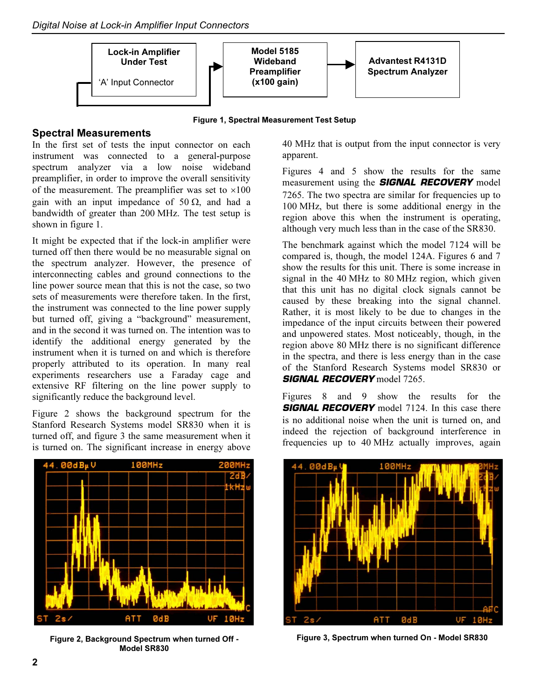Digital Noise at Lock-in Amplifier Input Connectors



Figure 1, Spectral Measurement Test Setup

### Spectral Measurements

In the first set of tests the input connector on each instrument was connected to a general-purpose spectrum analyzer via a low noise wideband preamplifier, in order to improve the overall sensitivity of the measurement. The preamplifier was set to  $\times 100$ gain with an input impedance of 50  $\Omega$ , and had a bandwidth of greater than 200 MHz. The test setup is shown in figure 1.

It might be expected that if the lock-in amplifier were turned off then there would be no measurable signal on the spectrum analyzer. However, the presence of interconnecting cables and ground connections to the line power source mean that this is not the case, so two sets of measurements were therefore taken. In the first, the instrument was connected to the line power supply but turned off, giving a "background" measurement, and in the second it was turned on. The intention was to identify the additional energy generated by the instrument when it is turned on and which is therefore properly attributed to its operation. In many real experiments researchers use a Faraday cage and extensive RF filtering on the line power supply to significantly reduce the background level.

Figure 2 shows the background spectrum for the Stanford Research Systems model SR830 when it is turned off, and figure 3 the same measurement when it is turned on. The significant increase in energy above



Figure 2, Background Spectrum when turned Off - Figure 3, Spectrum when turned On - Model SR830 Model SR830

40 MHz that is output from the input connector is very apparent.

Figures 4 and 5 show the results for the same measurement using the **SIGNAL RECOVERY** model 7265. The two spectra are similar for frequencies up to 100 MHz, but there is some additional energy in the region above this when the instrument is operating, although very much less than in the case of the SR830.

The benchmark against which the model 7124 will be compared is, though, the model 124A. Figures 6 and 7 show the results for this unit. There is some increase in signal in the 40 MHz to 80 MHz region, which given that this unit has no digital clock signals cannot be caused by these breaking into the signal channel. Rather, it is most likely to be due to changes in the impedance of the input circuits between their powered and unpowered states. Most noticeably, though, in the region above 80 MHz there is no significant difference in the spectra, and there is less energy than in the case of the Stanford Research Systems model SR830 or **SIGNAL RECOVERY** model 7265.

Figures 8 and 9 show the results for the **SIGNAL RECOVERY** model 7124. In this case there is no additional noise when the unit is turned on, and indeed the rejection of background interference in frequencies up to 40 MHz actually improves, again

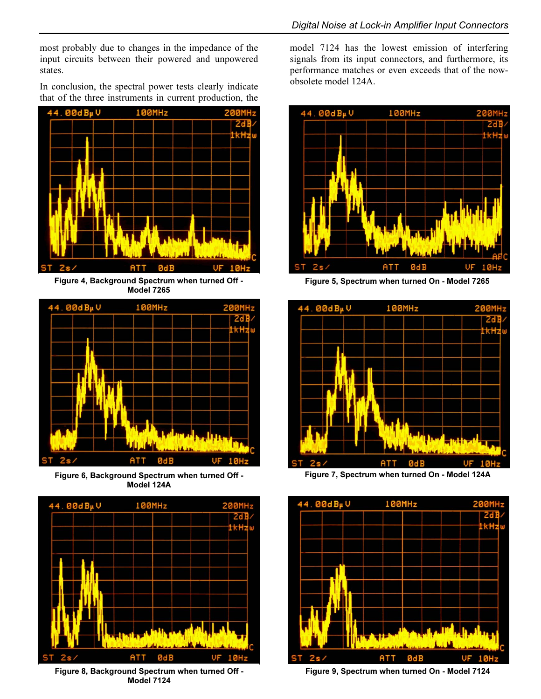most probably due to changes in the impedance of the input circuits between their powered and unpowered states.

In conclusion, the spectral power tests clearly indicate that of the three instruments in current production, the



Figure 4, Background Spectrum when turned Off - Model 7265



Figure 6, Background Spectrum when turned Off - Model 124A



Figure 8, Background Spectrum when turned Off - Model 7124

model 7124 has the lowest emission of interfering signals from its input connectors, and furthermore, its performance matches or even exceeds that of the nowobsolete model 124A.



Figure 5, Spectrum when turned On - Model 7265



Figure 7, Spectrum when turned On - Model 124A



Figure 9, Spectrum when turned On - Model 7124